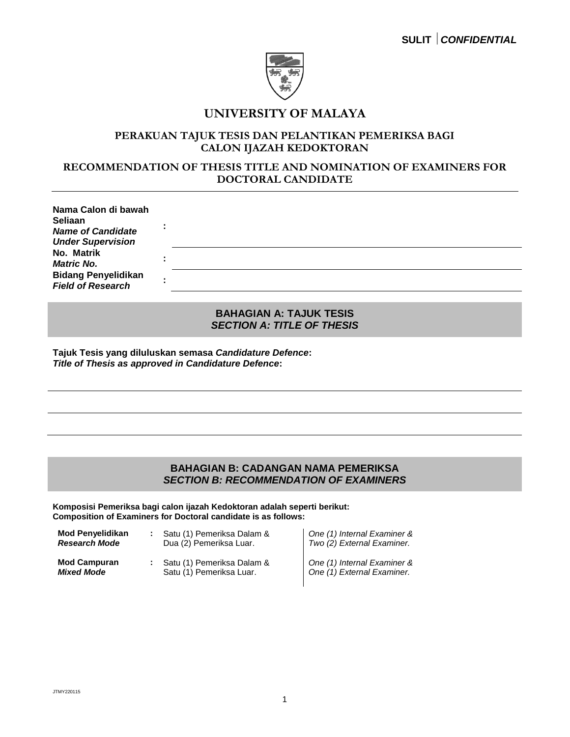

### **UNIVERSITY OF MALAYA**

### **PERAKUAN TAJUK TESIS DAN PELANTIKAN PEMERIKSA BAGI CALON IJAZAH KEDOKTORAN**

### **RECOMMENDATION OF THESIS TITLE AND NOMINATION OF EXAMINERS FOR DOCTORAL CANDIDATE**

| Nama Calon di bawah        |  |
|----------------------------|--|
| Seliaan                    |  |
| <b>Name of Candidate</b>   |  |
| <b>Under Supervision</b>   |  |
| No. Matrik                 |  |
| <b>Matric No.</b>          |  |
| <b>Bidang Penyelidikan</b> |  |
| <b>Field of Research</b>   |  |

### **BAHAGIAN A: TAJUK TESIS**  *SECTION A: TITLE OF THESIS*

**Tajuk Tesis yang diluluskan semasa** *Candidature Defence***:** *Title of Thesis as approved in Candidature Defence***:**

### **BAHAGIAN B: CADANGAN NAMA PEMERIKSA** *SECTION B: RECOMMENDATION OF EXAMINERS*

**Komposisi Pemeriksa bagi calon ijazah Kedoktoran adalah seperti berikut: Composition of Examiners for Doctoral candidate is as follows:**

| <b>Mod Penyelidikan</b> | : Satu (1) Pemeriksa Dalam & | One (1) Internal Examiner & |
|-------------------------|------------------------------|-----------------------------|
| <b>Research Mode</b>    | Dua (2) Pemeriksa Luar.      | Two (2) External Examiner.  |
| <b>Mod Campuran</b>     | : Satu (1) Pemeriksa Dalam & | One (1) Internal Examiner & |
| <b>Mixed Mode</b>       | Satu (1) Pemeriksa Luar.     | One (1) External Examiner.  |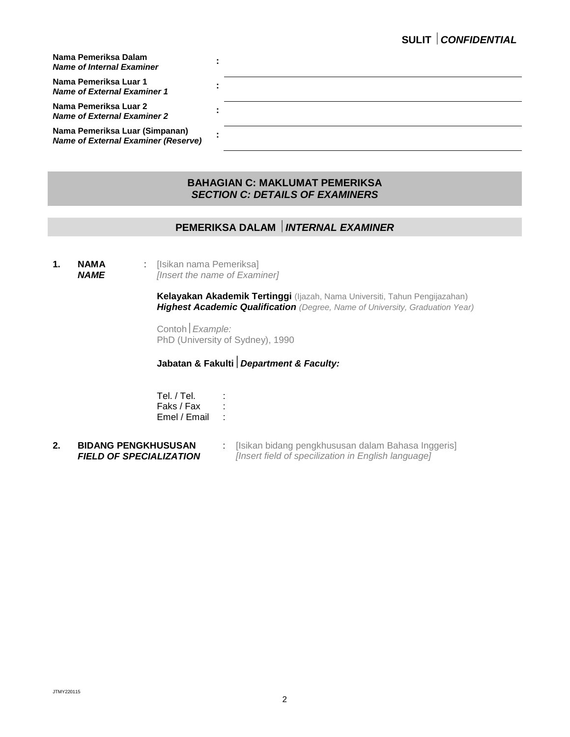## **SULIT** *CONFIDENTIAL*

| Nama Pemeriksa Dalam<br><b>Name of Internal Examiner</b>                     |  |
|------------------------------------------------------------------------------|--|
| Nama Pemeriksa Luar 1<br><b>Name of External Examiner 1</b>                  |  |
| Nama Pemeriksa Luar 2<br><b>Name of External Examiner 2</b>                  |  |
| Nama Pemeriksa Luar (Simpanan)<br><b>Name of External Examiner (Reserve)</b> |  |

### **BAHAGIAN C: MAKLUMAT PEMERIKSA** *SECTION C: DETAILS OF EXAMINERS*

### **PEMERIKSA DALAM** *INTERNAL EXAMINER*

**1. NAMA** *NAME* : [Isikan nama Pemeriksa] *[Insert the name of Examiner]* 

> **Kelayakan Akademik Tertinggi** (Ijazah, Nama Universiti, Tahun Pengijazahan) *Highest Academic Qualification (Degree, Name of University, Graduation Year)*

Contoh*Example:* PhD (University of Sydney), 1990

### **Jabatan & Fakulti***Department & Faculty:*

Tel. / Tel. : Faks / Fax : Emel / Email :

- **2. BIDANG PENGKHUSUSAN** *FIELD OF SPECIALIZATION*
- : [Isikan bidang pengkhususan dalam Bahasa Inggeris]
- *[Insert field of specilization in English language]*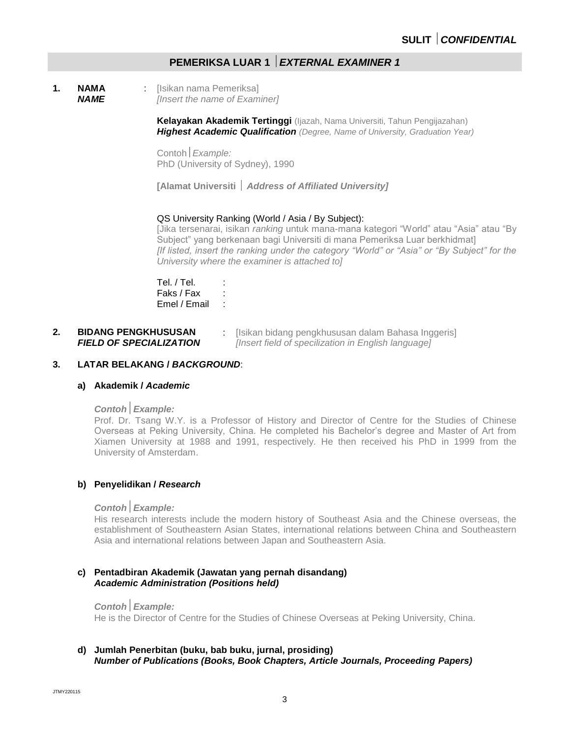### **PEMERIKSA LUAR 1** *EXTERNAL EXAMINER 1*

**1. NAMA** *NAME* : [Isikan nama Pemeriksa] *[Insert the name of Examiner]* 

> **Kelayakan Akademik Tertinggi** (Ijazah, Nama Universiti, Tahun Pengijazahan) *Highest Academic Qualification (Degree, Name of University, Graduation Year)*

Contoh*Example:* PhD (University of Sydney), 1990

**[Alamat Universiti**  *Address of Affiliated University]*

#### QS University Ranking (World / Asia / By Subject):

[Jika tersenarai, isikan *ranking* untuk mana-mana kategori "World" atau "Asia" atau "By Subject" yang berkenaan bagi Universiti di mana Pemeriksa Luar berkhidmat] *[If listed, insert the ranking under the category "World" or "Asia" or "By Subject" for the University where the examiner is attached to]*

Tel. / Tel. : Faks / Fax : Emel / Email :

#### **2. BIDANG PENGKHUSUSAN** *FIELD OF SPECIALIZATION* : [Isikan bidang pengkhususan dalam Bahasa Inggeris] *[Insert field of specilization in English language]*

#### **3. LATAR BELAKANG /** *BACKGROUND*:

#### **a) Akademik /** *Academic*

#### *ContohExample:*

Prof. Dr. Tsang W.Y. is a Professor of History and Director of Centre for the Studies of Chinese Overseas at Peking University, China. He completed his Bachelor's degree and Master of Art from Xiamen University at 1988 and 1991, respectively. He then received his PhD in 1999 from the University of Amsterdam.

#### **b) Penyelidikan /** *Research*

### *ContohExample:*

His research interests include the modern history of Southeast Asia and the Chinese overseas, the establishment of Southeastern Asian States, international relations between China and Southeastern Asia and international relations between Japan and Southeastern Asia.

#### **c) Pentadbiran Akademik (Jawatan yang pernah disandang)** *Academic Administration (Positions held)*

#### *ContohExample:*

He is the Director of Centre for the Studies of Chinese Overseas at Peking University, China.

#### **d) Jumlah Penerbitan (buku, bab buku, jurnal, prosiding)**  *Number of Publications (Books, Book Chapters, Article Journals, Proceeding Papers)*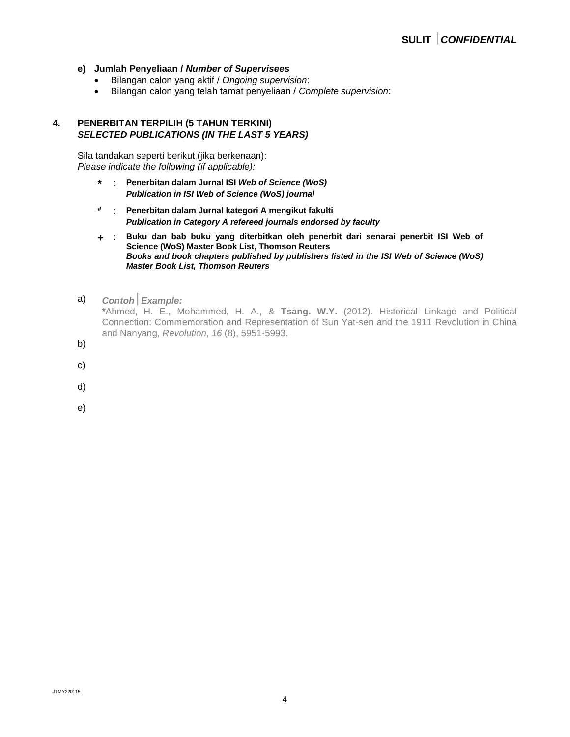- **e) Jumlah Penyeliaan /** *Number of Supervisees*
	- Bilangan calon yang aktif / *Ongoing supervision*:
	- Bilangan calon yang telah tamat penyeliaan / *Complete supervision*:

#### **4. PENERBITAN TERPILIH (5 TAHUN TERKINI)** *SELECTED PUBLICATIONS (IN THE LAST 5 YEARS)*

Sila tandakan seperti berikut (jika berkenaan): *Please indicate the following (if applicable):*

- **\*** : **Penerbitan dalam Jurnal ISI** *Web of Science (WoS) Publication in ISI Web of Science (WoS) journal*
- **#** : **Penerbitan dalam Jurnal kategori A mengikut fakulti** *Publication in Category A refereed journals endorsed by faculty*
- **+** : **Buku dan bab buku yang diterbitkan oleh penerbit dari senarai penerbit ISI Web of Science (WoS) Master Book List, Thomson Reuters** *Books and book chapters published by publishers listed in the ISI Web of Science (WoS) Master Book List, Thomson Reuters*
- a) *ContohExample:*

**\***Ahmed, H. E., Mohammed, H. A., & **Tsang. W.Y.** (2012). Historical Linkage and Political Connection: Commemoration and Representation of Sun Yat-sen and the 1911 Revolution in China and Nanyang, *Revolution*, *16* (8), 5951-5993.

- b)
- c)
- d)
- e)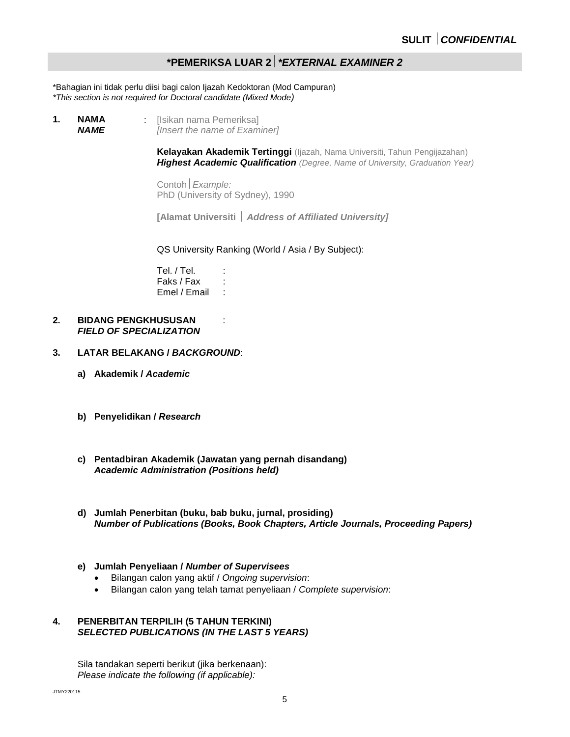### **\*PEMERIKSA LUAR 2***\*EXTERNAL EXAMINER 2*

\*Bahagian ini tidak perlu diisi bagi calon Ijazah Kedoktoran (Mod Campuran) *\*This section is not required for Doctoral candidate (Mixed Mode)* 

**1. NAMA** *NAME* : [Isikan nama Pemeriksa] *[Insert the name of Examiner]* 

> **Kelayakan Akademik Tertinggi** (Ijazah, Nama Universiti, Tahun Pengijazahan) *Highest Academic Qualification (Degree, Name of University, Graduation Year)*

Contoh*Example:* PhD (University of Sydney), 1990

:

**[Alamat Universiti**  *Address of Affiliated University]*

QS University Ranking (World / Asia / By Subject):

| Tel. / Tel.  |  |
|--------------|--|
| Faks / Fax   |  |
| Emel / Email |  |

- **2. BIDANG PENGKHUSUSAN** *FIELD OF SPECIALIZATION*
- **3. LATAR BELAKANG /** *BACKGROUND*:
	- **a) Akademik /** *Academic*
	- **b) Penyelidikan /** *Research*
	- **c) Pentadbiran Akademik (Jawatan yang pernah disandang)** *Academic Administration (Positions held)*
	- **d) Jumlah Penerbitan (buku, bab buku, jurnal, prosiding)**  *Number of Publications (Books, Book Chapters, Article Journals, Proceeding Papers)*
	- **e) Jumlah Penyeliaan /** *Number of Supervisees*
		- Bilangan calon yang aktif / *Ongoing supervision*:
		- Bilangan calon yang telah tamat penyeliaan / *Complete supervision*:

#### **4. PENERBITAN TERPILIH (5 TAHUN TERKINI)** *SELECTED PUBLICATIONS (IN THE LAST 5 YEARS)*

Sila tandakan seperti berikut (jika berkenaan): *Please indicate the following (if applicable):*

JTMY220115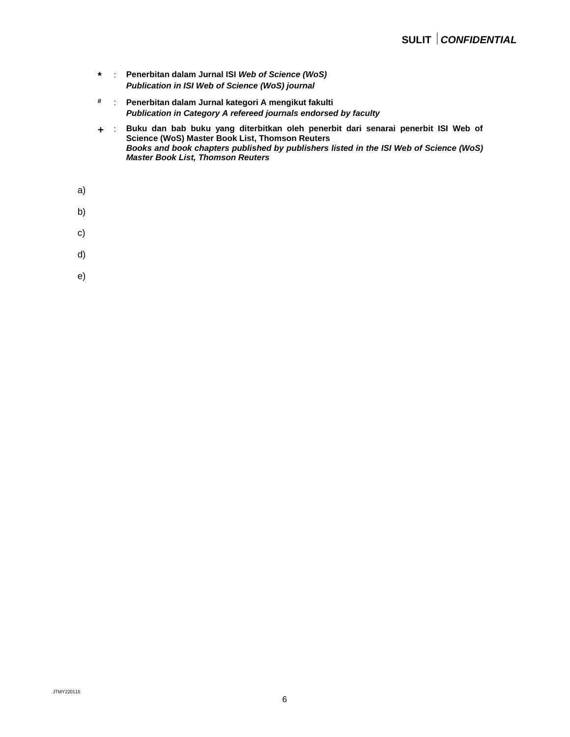- **\*** : **Penerbitan dalam Jurnal ISI** *Web of Science (WoS) Publication in ISI Web of Science (WoS) journal*
- **#** : **Penerbitan dalam Jurnal kategori A mengikut fakulti** *Publication in Category A refereed journals endorsed by faculty*
- **+** : **Buku dan bab buku yang diterbitkan oleh penerbit dari senarai penerbit ISI Web of Science (WoS) Master Book List, Thomson Reuters** *Books and book chapters published by publishers listed in the ISI Web of Science (WoS) Master Book List, Thomson Reuters*
- a)
- b)
- c)
	-
- d)
- e)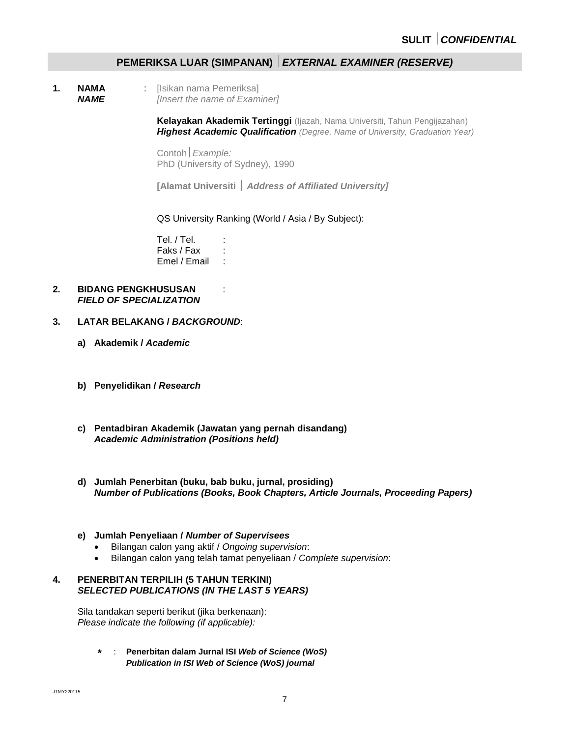### **PEMERIKSA LUAR (SIMPANAN)** *EXTERNAL EXAMINER (RESERVE)*

**1. NAMA** *NAME* : [Isikan nama Pemeriksa] *[Insert the name of Examiner]* 

> **Kelayakan Akademik Tertinggi** (Ijazah, Nama Universiti, Tahun Pengijazahan) *Highest Academic Qualification (Degree, Name of University, Graduation Year)*

Contoh*Example:* PhD (University of Sydney), 1990

:

**[Alamat Universiti**  *Address of Affiliated University]*

QS University Ranking (World / Asia / By Subject):

Tel. / Tel. : Faks / Fax : Emel / Email :

- **2. BIDANG PENGKHUSUSAN** *FIELD OF SPECIALIZATION*
- **3. LATAR BELAKANG /** *BACKGROUND*:
	- **a) Akademik /** *Academic*
	- **b) Penyelidikan /** *Research*
	- **c) Pentadbiran Akademik (Jawatan yang pernah disandang)** *Academic Administration (Positions held)*
	- **d) Jumlah Penerbitan (buku, bab buku, jurnal, prosiding)**  *Number of Publications (Books, Book Chapters, Article Journals, Proceeding Papers)*

#### **e) Jumlah Penyeliaan /** *Number of Supervisees*

- Bilangan calon yang aktif / *Ongoing supervision*:
- Bilangan calon yang telah tamat penyeliaan / *Complete supervision*:

#### **4. PENERBITAN TERPILIH (5 TAHUN TERKINI)** *SELECTED PUBLICATIONS (IN THE LAST 5 YEARS)*

Sila tandakan seperti berikut (jika berkenaan): *Please indicate the following (if applicable):*

> **\*** : **Penerbitan dalam Jurnal ISI** *Web of Science (WoS) Publication in ISI Web of Science (WoS) journal*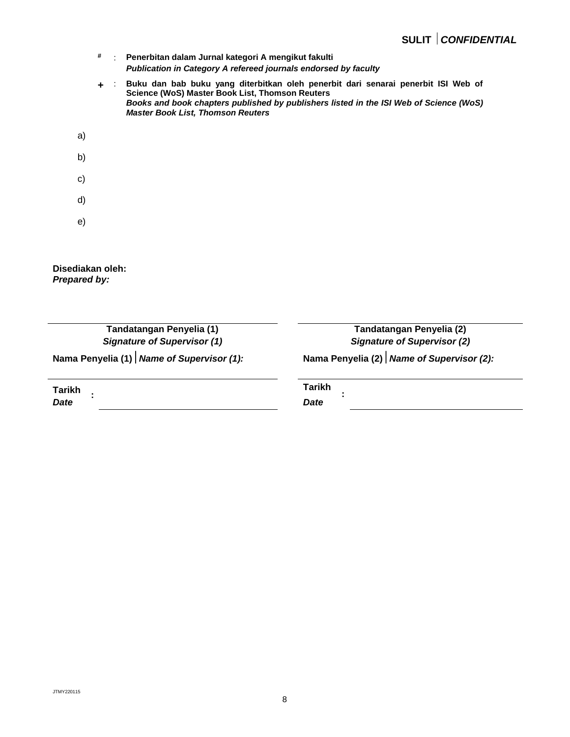- **#** : **Penerbitan dalam Jurnal kategori A mengikut fakulti** *Publication in Category A refereed journals endorsed by faculty* **+** : **Buku dan bab buku yang diterbitkan oleh penerbit dari senarai penerbit ISI Web of Science (WoS) Master Book List, Thomson Reuters** *Books and book chapters published by publishers listed in the ISI Web of Science (WoS) Master Book List, Thomson Reuters* a) b)
- c)
- d)
- e)

**Disediakan oleh:** *Prepared by:*

| <b>Tandatangan Penyelia (1)</b>    |  |
|------------------------------------|--|
| <b>Signature of Supervisor (1)</b> |  |

**Tarikh** *Date*

**:**

**Tandatangan Penyelia (2)** *Signature of Supervisor (2)* **Nama Penyelia (1)***Name of Supervisor (1):* **Nama Penyelia (2)***Name of Supervisor (2):*

> **Tarikh** *Date*

**:**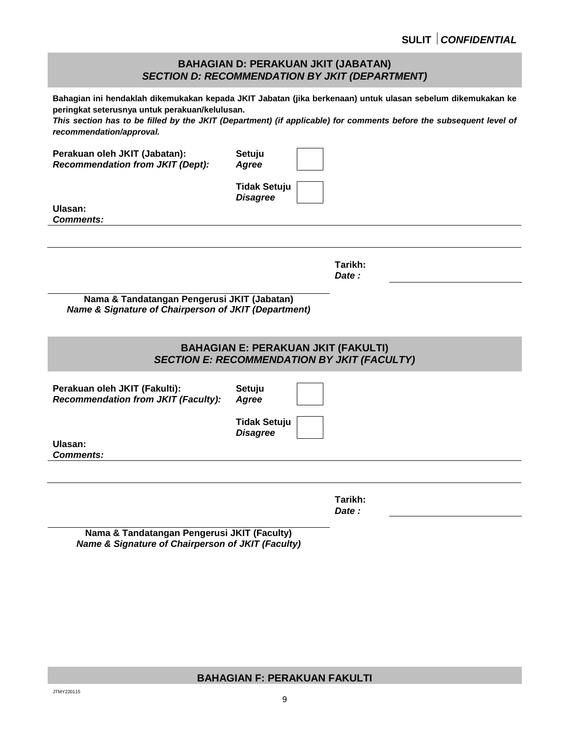### **BAHAGIAN D: PERAKUAN JKIT (JABATAN)** *SECTION D: RECOMMENDATION BY JKIT (DEPARTMENT)*

**Bahagian ini hendaklah dikemukakan kepada JKIT Jabatan (jika berkenaan) untuk ulasan sebelum dikemukakan ke peringkat seterusnya untuk perakuan/kelulusan.**

*This section has to be filled by the JKIT (Department) (if applicable) for comments before the subsequent level of recommendation/approval.*

| Perakuan oleh JKIT (Jabatan):<br><b>Recommendation from JKIT (Dept):</b>                            | Setuju<br>Agree                                                                                  |                  |  |  |
|-----------------------------------------------------------------------------------------------------|--------------------------------------------------------------------------------------------------|------------------|--|--|
|                                                                                                     | <b>Tidak Setuju</b><br><b>Disagree</b>                                                           |                  |  |  |
| Ulasan:                                                                                             |                                                                                                  |                  |  |  |
| <b>Comments:</b>                                                                                    |                                                                                                  |                  |  |  |
|                                                                                                     |                                                                                                  | Tarikh:<br>Date: |  |  |
| Nama & Tandatangan Pengerusi JKIT (Jabatan)<br>Name & Signature of Chairperson of JKIT (Department) |                                                                                                  |                  |  |  |
|                                                                                                     | <b>BAHAGIAN E: PERAKUAN JKIT (FAKULTI)</b><br><b>SECTION E: RECOMMENDATION BY JKIT (FACULTY)</b> |                  |  |  |
| Perakuan oleh JKIT (Fakulti):<br><b>Recommendation from JKIT (Faculty):</b>                         | Setuju<br>Agree                                                                                  |                  |  |  |
|                                                                                                     | <b>Tidak Setuju</b><br><b>Disagree</b>                                                           |                  |  |  |
| Ulasan:<br><b>Comments:</b>                                                                         |                                                                                                  |                  |  |  |
|                                                                                                     |                                                                                                  |                  |  |  |
|                                                                                                     |                                                                                                  | Tarikh:<br>Date: |  |  |
| Nama & Tandatangan Pengerusi JKIT (Faculty)<br>Name & Signature of Chairperson of JKIT (Faculty)    |                                                                                                  |                  |  |  |